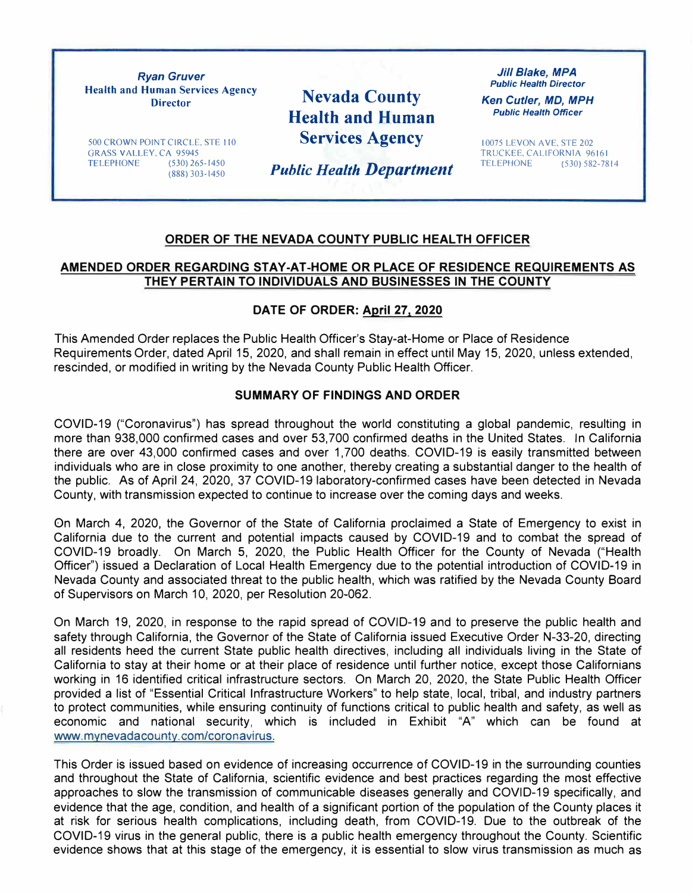*Ryan Gruver*  **Health and Human Services Agency Director** 

**Nevada County Health and Human Services Agency** 

500 CROWN POINT CIRCLE, STE 110 GRASS VALLEY, CA 95945<br>TELEPHONE (530) 265-1450 **TELEPHONE** (888) 303-1450

*Public Health Department* 

*Jill Blake, MPA Public Health Director* 

*Ken Cutler, MD, MPH Public Health Officer* 

10075 LEVON AVE, STE 202 TRUCKEE, CALIFORNIA 96161<br>TELEPHONE (530) 582-78 TELEPHONE (530) 582-7814

#### **ORDER OF THE NEVADA COUNTY PUBLIC HEALTH OFFICER**

### **AMENDED ORDER REGARDING STAY-AT-HOME OR PLACE OF RESIDENCE REQUIREMENTS AS THEY PERTAIN TO INDIVIDUALS AND BUSINESSES IN THE COUNTY**

### **DATE OF ORDER: April 27, 2020**

This Amended Order replaces the Public Health Officer's Stay-at-Home or Place of Residence Requirements Order, dated April 15, 2020, and shall remain in effect until May 15, 2020, unless extended, rescinded, or modified in writing by the Nevada County Public Health Officer.

### **SUMMARY OF FINDINGS AND ORDER**

COVID-19 ("Coronavirus") has spread throughout the world constituting a global pandemic, resulting in more than 938,000 confirmed cases and over 53,700 confirmed deaths in the United States. In California there are over 43,000 confirmed cases and over 1,700 deaths. COVID-19 is easily transmitted between individuals who are in close proximity to one another, thereby creating a substantial danger to the health of the public. As of April 24, 2020, 37 COVID-19 laboratory-confirmed cases have been detected in Nevada County, with transmission expected to continue to increase over the coming days and weeks.

On March 4, 2020, the Governor of the State of California proclaimed a State of Emergency to exist in California due to the current and potential impacts caused by COVID-19 and to combat the spread of COVID-19 broadly. On March 5, 2020, the Public Health Officer for the County of Nevada ("Health Officer") issued a Declaration of Local Health Emergency due to the potential introduction of COVID-19 in Nevada County and associated threat to the public health, which was ratified by the Nevada County Board of Supervisors on March 10, 2020, per Resolution 20-062.

On March 19, 2020, in response to the rapid spread of COVID-19 and to preserve the public health and safety through California, the Governor of the State of California issued Executive Order N-33-20, directing all residents heed the current State public health directives, including all individuals living in the State of California to stay at their home or at their place of residence until further notice, except those Californians working in 16 identified critical infrastructure sectors, On March 20, 2020, the State Public Health Officer provided a list of "Essential Critical Infrastructure Workers" to help state, local, tribal, and industry partners to protect communities, while ensuring continuity of functions critical to public health and safety, as well as economic and national security, which is included in Exhibit "A" which can be found at www.mynevadacounty.com/coronavirus.

This Order is issued based on evidence of increasing occurrence of COVID-19 in the surrounding counties and throughout the State of California, scientific evidence and best practices regarding the most effective approaches to slow the transmission of communicable diseases generally and COVID-19 specifically, and evidence that the age, condition, and health of a significant portion of the population of the County places it at risk for serious health complications, including death, from COVID-19. Due to the outbreak of the COVID-19 virus in the general public, there is a public health emergency throughout the County. Scientific evidence shows that at this stage of the emergency, it is essential to slow virus transmission as much as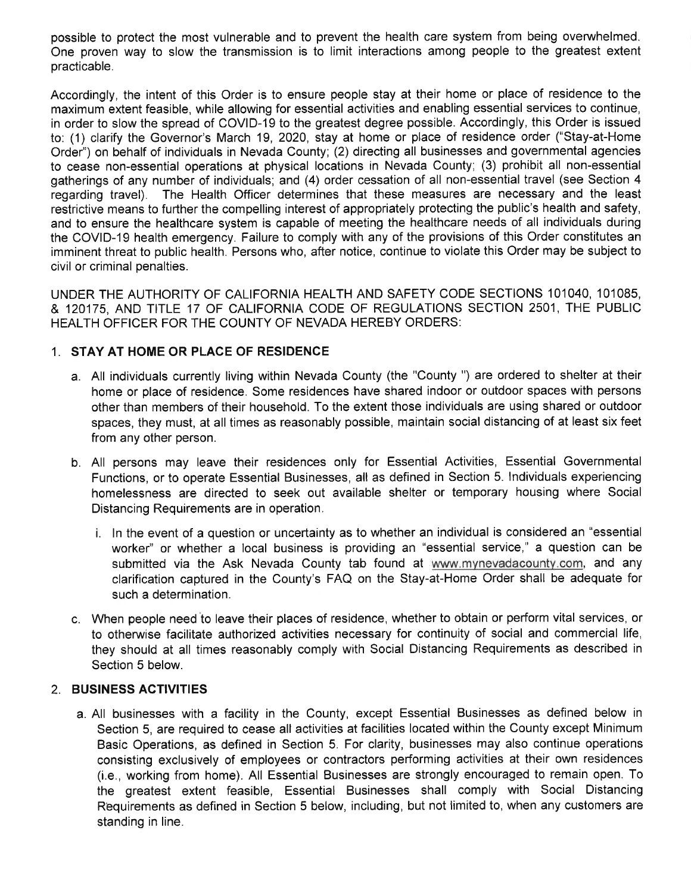possible to protect the most vulnerable and to prevent the health care system from being overwhelmed. One proven way to slow the transmission is to limit interactions among people to the greatest extent practicable.

Accordingly, the intent of this Order is to ensure people stay at their home or place of residence to the maximum extent feasible, while allowing for essential activities and enabling essential services to continue, in order to slow the spread of COVID-19 to the greatest degree possible. Accordingly, this Order is issued to: (1) clarify the Governor's March 19, 2020, stay at home or place of residence order ("Stay-at-Home Order") on behalf of individuals in Nevada County; (2) directing all businesses and governmental agencies to cease non-essential operations at physical locations in Nevada County; (3) prohibit all non-essential gatherings of any number of individuals; and (4) order cessation of all non-essential travel (see Section 4 regarding travel). The Health Officer determines that these measures are necessary and the least restrictive means to further the compelling interest of appropriately protecting the public's health and safety, and to ensure the healthcare system is capable of meeting the healthcare needs of all individuals during the COVID-19 health emergency. Failure to comply with any of the provisions of this Order constitutes an imminent threat to public health. Persons who, after notice, continue to violate this Order may be subject to civil or criminal penalties.

UNDER THE AUTHORITY OF CALIFORNIA HEALTH AND SAFETY CODE SECTIONS 101040, 101085, & 120175, AND TITLE 17 OF CALIFORNIA CODE OF REGULATIONS SECTION 2501, THE PUBLIC HEALTH OFFICER FOR THE COUNTY OF NEVADA HEREBY ORDERS:

### 1. STAY AT HOME OR PLACE OF RESIDENCE

- a. All individuals currently living within Nevada County (the "County ") are ordered to shelter at their home or place of residence. Some residences have shared indoor or outdoor spaces with persons other than members of their household. To the extent those individuals are using shared or outdoor spaces, they must, at all times as reasonably possible, maintain social distancing of at least six feet from any other person.
- b. All persons may leave their residences only for Essential Activities, Essential Governmental Functions, or to operate Essential Businesses, all as defined in Section 5. Individuals experiencing homelessness are directed to seek out available shelter or temporary housing where Social Distancing Requirements are in operation.
	- i. In the event of a question or uncertainty as to whether an individual is considered an "essential worker" or whether a local business is providing an "essential service," a question can be submitted via the Ask Nevada County tab found at www.mynevadacounty.com, and any clarification captured in the County's FAQ on the Stay-at-Home Order shall be adequate for such a determination.
- c. When people need to leave their places of residence, whether to obtain or perform vital services, or to otherwise facilitate authorized activities necessary for continuity of social and commercial life, they should at all times reasonably comply with Social Distancing Requirements as described in Section 5 below.

### 2. BUSINESS ACTIVITIES

a. All businesses with a facility in the County, except Essential Businesses as defined below in Section 5, are required to cease all activities at facilities located within the County except Minimum Basic Operations, as defined in Section 5. For clarity, businesses may also continue operations consisting exclusively of employees or contractors performing activities at their own residences (i.e., working from home). All Essential Businesses are strongly encouraged to remain open. To the greatest extent feasible, Essential Businesses shall comply with Social Distancing Requirements as defined in Section 5 below, including, but not limited to, when any customers are standing in line.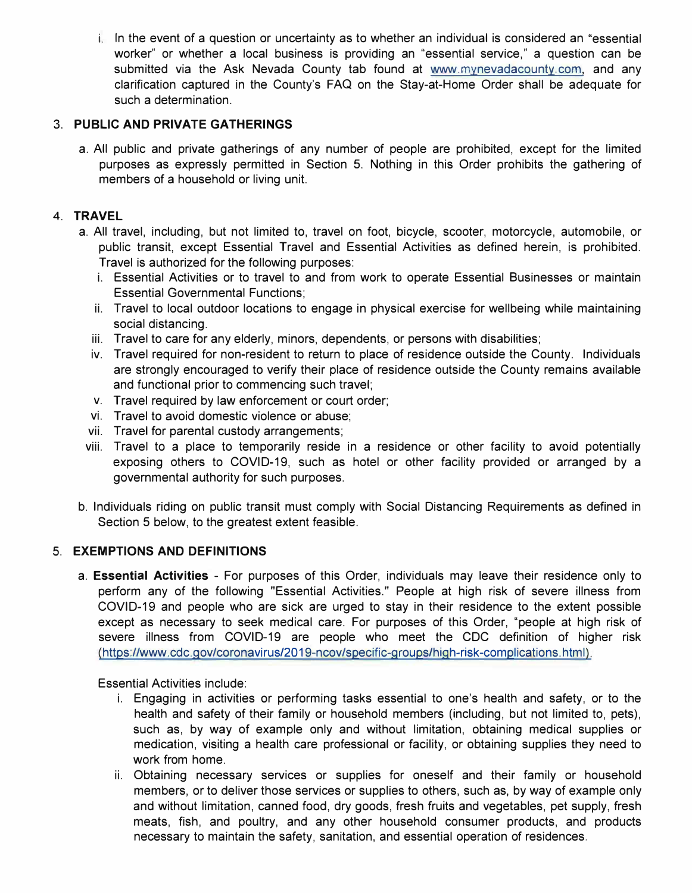i. In the event of a question or uncertainty as to whether an individual is considered an "essential worker" or whether a local business is providing an "essential service," a question can be submitted via the Ask Nevada County tab found at [www.mynevadacounty.com,](www.mynevadacounty.com) and any clarification captured in the County's FAQ on the Stay-at-Home Order shall be adequate for such a determination.

### **3. PUBLIC AND PRIVATE GATHERINGS**

a. All public and private gatherings of any number of people are prohibited, except for the limited purposes as expressly permitted in Section 5. Nothing in this Order prohibits the gathering of members of a household or living unit.

### **4. TRAVEL**

- a. All travel, including, but not limited to, travel on foot, bicycle, scooter, motorcycle, automobile, or public transit, except Essential Travel and Essential Activities as defined herein, is prohibited. Travel is authorized for the following purposes:
	- i. Essential Activities or to travel to and from work to operate Essential Businesses or maintain Essential Governmental Functions;
	- ii. Travel to local outdoor locations to engage in physical exercise for wellbeing while maintaining social distancing.
	- iii. Travel to care for any elderly, minors, dependents, or persons with disabilities;
	- iv. Travel required for non-resident to return to place of residence outside the County. Individuals are strongly encouraged to verify their place of residence outside the County remains available and functional prior to commencing such travel;
	- v. Travel required by law enforcement or court order;
	- vi. Travel to avoid domestic violence or abuse;
	- vii. Travel for parental custody arrangements;
- viii. Travel to a place to temporarily reside in a residence or other facility to avoid potentially exposing others to COVID-19, such as hotel or other facility provided or arranged by a governmental authority for such purposes.
- b. Individuals riding on public transit must comply with Social Distancing Requirements as defined in Section 5 below, to the greatest extent feasible.

### **5. EXEMPTIONS AND DEFINITIONS**

a. **Essential Activities** - For purposes of this Order, individuals may leave their residence only to perform any of the following "Essential Activities." People at high risk of severe illness from COVID-19 and people who are sick are urged to stay in their residence to the extent possible except as necessary to seek medical care. For purposes of this Order, "people at high risk of severe illness from COVID-19 are people who meet the CDC definition of higher risk [\(https://www.cdc.gov/coronavirus/2019-ncov /specific-groups/high-risk-complications. html\).](https://www.cdc.gov/coronavirus/2019-ncov/need-extra-precautions/people-at-higher-risk.html?CDC_AA_refVal=https%3A%2F%2Fwww.cdc.gov%2Fcoronavirus%2F2019-ncov%2Fspecific-groups%2Fhigh-risk-complications.html) 

Essential Activities include:

- i. Engaging in activities or performing tasks essential to one's health and safety, or to the health and safety of their family or household members (including, but not limited to, pets), such as, by way of example only and without limitation, obtaining medical supplies or medication, visiting a health care professional or facility, or obtaining supplies they need to work from home.
- ii. Obtaining necessary services or supplies for oneself and their family or household members, or to deliver those services or supplies to others, such as, by way of example only and without limitation, canned food, dry goods, fresh fruits and vegetables, pet supply, fresh meats, fish, and poultry, and any other household consumer products, and products necessary to maintain the safety, sanitation, and essential operation of residences.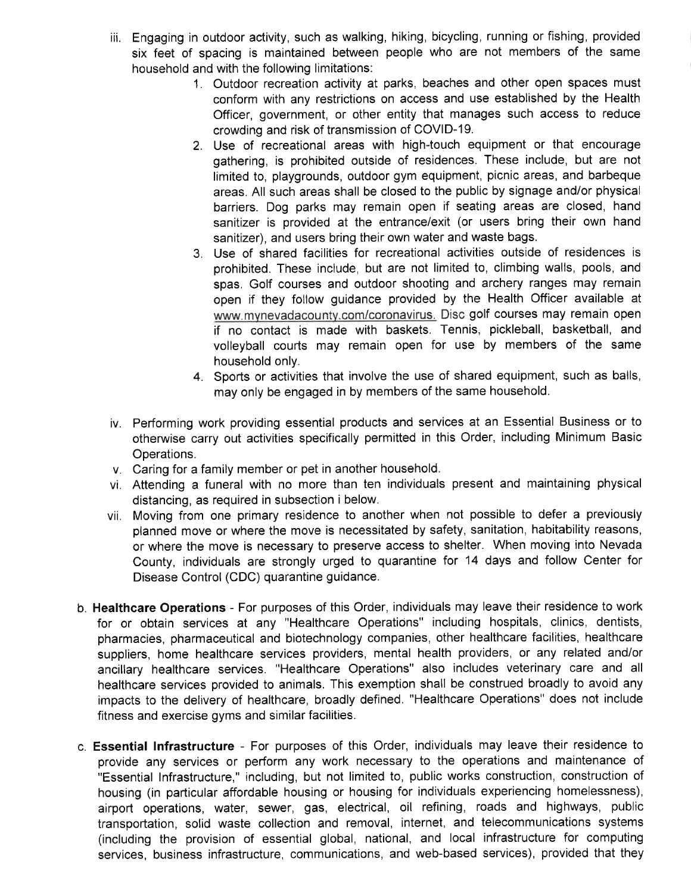- iii. Engaging in outdoor activity, such as walking, hiking, bicycling, running or fishing, provided six feet of spacing is maintained between people who are not members of the same household and with the following limitations:
	- 1. Outdoor recreation activity at parks, beaches and other open spaces must conform with any restrictions on access and use established by the Health Officer, government, or other entity that manages such access to reduce crowding and risk of transmission of COVID-19.
	- 2. Use of recreational areas with high-touch equipment or that encourage gathering, is prohibited outside of residences. These include, but are not limited to, playgrounds, outdoor gym equipment, picnic areas, and barbeque areas. All such areas shall be closed to the public by signage and/or physical barriers. Dog parks may remain open if seating areas are closed, hand sanitizer is provided at the entrance/exit (or users bring their own hand sanitizer), and users bring their own water and waste bags.
	- 3. Use of shared facilities for recreational activities outside of residences is prohibited. These include, but are not limited to, climbing walls, pools, and spas. Golf courses and outdoor shooting and archery ranges may remain open if they follow guidance provided by the Health Officer available at www.mynevadacounty.com/coronavirus. Disc golf courses may remain open if no contact is made with baskets. Tennis, pickleball, basketball, and volleyball courts may remain open for use by members of the same household only.
	- 4. Sports or activities that involve the use of shared equipment, such as balls, may only be engaged in by members of the same household.
- iv. Performing work providing essential products and services at an Essential Business or to otherwise carry out activities specifically permitted in this Order, including Minimum Basic Operations.
- v. Caring for a family member or pet in another household.
- vi. Attending a funeral with no more than ten individuals present and maintaining physical distancing, as required in subsection i below.
- vii. Moving from one primary residence to another when not possible to defer a previously planned move or where the move is necessitated by safety, sanitation, habitability reasons, or where the move is necessary to preserve access to shelter. When moving into Nevada County, individuals are strongly urged to quarantine for 14 days and follow Center for Disease Control (CDC) quarantine guidance.
- b. Healthcare Operations For purposes of this Order, individuals may leave their residence to work for or obtain services at any "Healthcare Operations" including hospitals, clinics, dentists, pharmacies, pharmaceutical and biotechnology companies, other healthcare facilities, healthcare suppliers, home healthcare services providers, mental health providers, or any related and/or ancillary healthcare services. "Healthcare Operations" also includes veterinary care and all healthcare services provided to animals. This exemption shall be construed broadly to avoid any impacts to the delivery of healthcare, broadly defined. "Healthcare Operations" does not include fitness and exercise gyms and similar facilities.
- c. Essential Infrastructure For purposes of this Order, individuals may leave their residence to provide any services or perform any work necessary to the operations and maintenance of "Essential Infrastructure," including, but not limited to, public works construction, construction of housing (in particular affordable housing or housing for individuals experiencing homelessness), airport operations, water, sewer, gas, electrical, oil refining, roads and highways, public transportation, solid waste collection and removal, internet, and telecommunications systems (including the provision of essential global, national, and local infrastructure for computing services, business infrastructure, communications, and web-based services), provided that they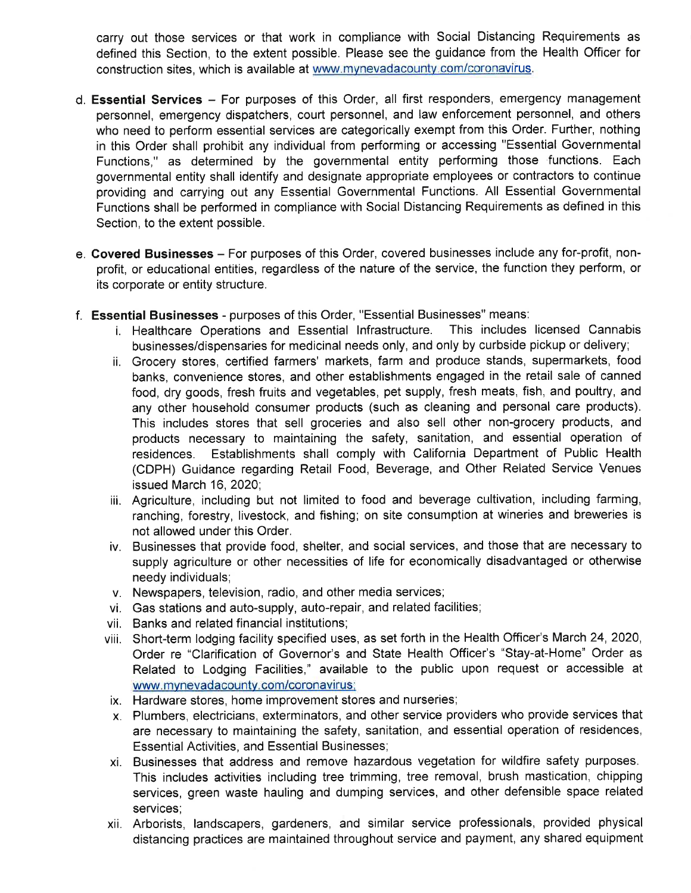carry out those services or that work in compliance with Social Distancing Requirements as defined this Section, to the extent possible. Please see the guidance from the Health Officer for construction sites, which is available at www.mynevadacounty.com/coronavirus.

- d. Essential Services For purposes of this Order, all first responders, emergency management personnel, emergency dispatchers, court personnel, and law enforcement personnel, and others who need to perform essential services are categorically exempt from this Order. Further, nothing in this Order shall prohibit any individual from performing or accessing "Essential Governmental Functions," as determined by the governmental entity performing those functions. Each governmental entity shall identify and designate appropriate employees or contractors to continue providing and carrying out any Essential Governmental Functions. All Essential Governmental Functions shall be performed in compliance with Social Distancing Requirements as defined in this Section, to the extent possible.
- e. Covered Businesses For purposes of this Order, covered businesses include any for-profit, nonprofit, or educational entities, regardless of the nature of the service, the function they perform, or its corporate or entity structure.
- f. Essential Businesses purposes of this Order, "Essential Businesses" means:
	- i. Healthcare Operations and Essential Infrastructure. This includes licensed Cannabis businesses/dispensaries for medicinal needs only, and only by curbside pickup or delivery;
	- ii. Grocery stores, certified farmers' markets, farm and produce stands, supermarkets, food banks, convenience stores, and other establishments engaged in the retail sale of canned food, dry goods, fresh fruits and vegetables, pet supply, fresh meats, fish, and poultry, and any other household consumer products (such as cleaning and personal care products). This includes stores that sell groceries and also sell other non-grocery products, and products necessary to maintaining the safety, sanitation, and essential operation of Establishments shall comply with California Department of Public Health residences. (CDPH) Guidance regarding Retail Food, Beverage, and Other Related Service Venues issued March 16, 2020;
	- iii. Agriculture, including but not limited to food and beverage cultivation, including farming, ranching, forestry, livestock, and fishing; on site consumption at wineries and breweries is not allowed under this Order.
	- iv. Businesses that provide food, shelter, and social services, and those that are necessary to supply agriculture or other necessities of life for economically disadvantaged or otherwise needy individuals;
	- v. Newspapers, television, radio, and other media services;
	- vi. Gas stations and auto-supply, auto-repair, and related facilities;
	- vii. Banks and related financial institutions;
	- viii. Short-term lodging facility specified uses, as set forth in the Health Officer's March 24, 2020, Order re "Clarification of Governor's and State Health Officer's "Stay-at-Home" Order as Related to Lodging Facilities," available to the public upon request or accessible at www.mynevadacounty.com/coronavirus;
	- ix. Hardware stores, home improvement stores and nurseries;
	- x. Plumbers, electricians, exterminators, and other service providers who provide services that are necessary to maintaining the safety, sanitation, and essential operation of residences, **Essential Activities, and Essential Businesses;**
	- xi. Businesses that address and remove hazardous vegetation for wildfire safety purposes. This includes activities including tree trimming, tree removal, brush mastication, chipping services, green waste hauling and dumping services, and other defensible space related services;
	- xii. Arborists, landscapers, gardeners, and similar service professionals, provided physical distancing practices are maintained throughout service and payment, any shared equipment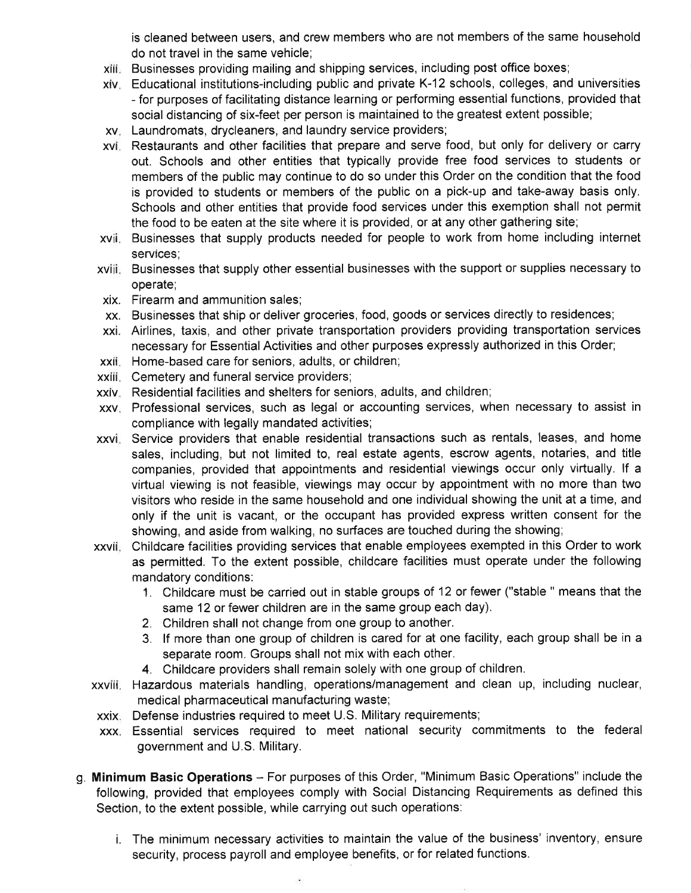is cleaned between users, and crew members who are not members of the same household do not travel in the same vehicle:

- xiii. Businesses providing mailing and shipping services, including post office boxes;
- xiv. Educational institutions-including public and private K-12 schools, colleges, and universities - for purposes of facilitating distance learning or performing essential functions, provided that social distancing of six-feet per person is maintained to the greatest extent possible;
- xv. Laundromats, drycleaners, and laundry service providers;
- xvi. Restaurants and other facilities that prepare and serve food, but only for delivery or carry out. Schools and other entities that typically provide free food services to students or members of the public may continue to do so under this Order on the condition that the food is provided to students or members of the public on a pick-up and take-away basis only. Schools and other entities that provide food services under this exemption shall not permit the food to be eaten at the site where it is provided, or at any other gathering site;
- xvii. Businesses that supply products needed for people to work from home including internet services;
- xviii. Businesses that supply other essential businesses with the support or supplies necessary to operate;
- xix. Firearm and ammunition sales;
- xx. Businesses that ship or deliver groceries, food, goods or services directly to residences;
- xxi. Airlines, taxis, and other private transportation providers providing transportation services necessary for Essential Activities and other purposes expressly authorized in this Order;
- xxii. Home-based care for seniors, adults, or children;
- xxiii. Cemetery and funeral service providers;
- xxiv. Residential facilities and shelters for seniors, adults, and children;
- xxv. Professional services, such as legal or accounting services, when necessary to assist in compliance with legally mandated activities;
- xxvi. Service providers that enable residential transactions such as rentals, leases, and home sales, including, but not limited to, real estate agents, escrow agents, notaries, and title companies, provided that appointments and residential viewings occur only virtually. If a virtual viewing is not feasible, viewings may occur by appointment with no more than two visitors who reside in the same household and one individual showing the unit at a time, and only if the unit is vacant, or the occupant has provided express written consent for the showing, and aside from walking, no surfaces are touched during the showing;
- xxvii. Childcare facilities providing services that enable employees exempted in this Order to work as permitted. To the extent possible, childcare facilities must operate under the following mandatory conditions:
	- 1. Childcare must be carried out in stable groups of 12 or fewer ("stable " means that the same 12 or fewer children are in the same group each day).
	- 2. Children shall not change from one group to another.
	- 3. If more than one group of children is cared for at one facility, each group shall be in a separate room. Groups shall not mix with each other.
	- 4. Childcare providers shall remain solely with one group of children.
- xxviii. Hazardous materials handling, operations/management and clean up, including nuclear, medical pharmaceutical manufacturing waste;
- xxix. Defense industries required to meet U.S. Military requirements;
- xxx. Essential services required to meet national security commitments to the federal government and U.S. Military.
- g. Minimum Basic Operations For purposes of this Order, "Minimum Basic Operations" include the following, provided that employees comply with Social Distancing Requirements as defined this Section, to the extent possible, while carrying out such operations:
	- i. The minimum necessary activities to maintain the value of the business' inventory, ensure security, process payroll and employee benefits, or for related functions.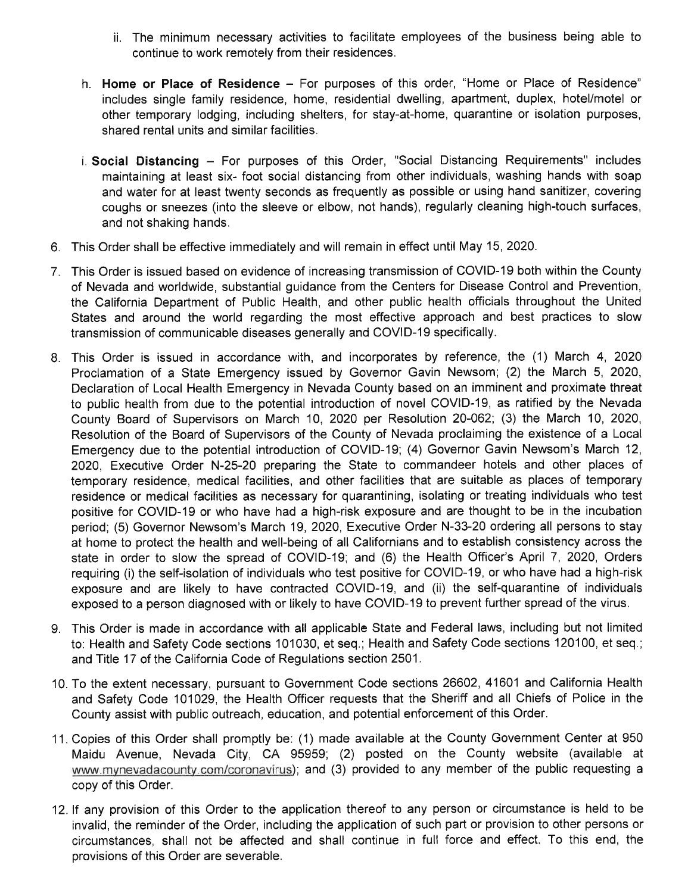- ii. The minimum necessary activities to facilitate employees of the business being able to continue to work remotely from their residences.
- h. Home or Place of Residence For purposes of this order, "Home or Place of Residence" includes single family residence, home, residential dwelling, apartment, duplex, hotel/motel or other temporary lodging, including shelters, for stay-at-home, quarantine or isolation purposes. shared rental units and similar facilities.
- i. Social Distancing For purposes of this Order, "Social Distancing Requirements" includes maintaining at least six- foot social distancing from other individuals, washing hands with soap and water for at least twenty seconds as frequently as possible or using hand sanitizer, covering coughs or sneezes (into the sleeve or elbow, not hands), regularly cleaning high-touch surfaces, and not shaking hands.
- 6. This Order shall be effective immediately and will remain in effect until May 15, 2020.
- 7. This Order is issued based on evidence of increasing transmission of COVID-19 both within the County of Nevada and worldwide, substantial guidance from the Centers for Disease Control and Prevention, the California Department of Public Health, and other public health officials throughout the United States and around the world regarding the most effective approach and best practices to slow transmission of communicable diseases generally and COVID-19 specifically.
- 8. This Order is issued in accordance with, and incorporates by reference, the (1) March 4, 2020 Proclamation of a State Emergency issued by Governor Gavin Newsom; (2) the March 5, 2020, Declaration of Local Health Emergency in Nevada County based on an imminent and proximate threat to public health from due to the potential introduction of novel COVID-19, as ratified by the Nevada County Board of Supervisors on March 10, 2020 per Resolution 20-062; (3) the March 10, 2020, Resolution of the Board of Supervisors of the County of Nevada proclaiming the existence of a Local Emergency due to the potential introduction of COVID-19; (4) Governor Gavin Newsom's March 12, 2020, Executive Order N-25-20 preparing the State to commandeer hotels and other places of temporary residence, medical facilities, and other facilities that are suitable as places of temporary residence or medical facilities as necessary for quarantining, isolating or treating individuals who test positive for COVID-19 or who have had a high-risk exposure and are thought to be in the incubation period; (5) Governor Newsom's March 19, 2020, Executive Order N-33-20 ordering all persons to stay at home to protect the health and well-being of all Californians and to establish consistency across the state in order to slow the spread of COVID-19; and (6) the Health Officer's April 7, 2020, Orders requiring (i) the self-isolation of individuals who test positive for COVID-19, or who have had a high-risk exposure and are likely to have contracted COVID-19, and (ii) the self-quarantine of individuals exposed to a person diagnosed with or likely to have COVID-19 to prevent further spread of the virus.
- 9. This Order is made in accordance with all applicable State and Federal laws, including but not limited to: Health and Safety Code sections 101030, et seq.; Health and Safety Code sections 120100, et seq.; and Title 17 of the California Code of Regulations section 2501.
- 10. To the extent necessary, pursuant to Government Code sections 26602, 41601 and California Health and Safety Code 101029, the Health Officer requests that the Sheriff and all Chiefs of Police in the County assist with public outreach, education, and potential enforcement of this Order.
- 11. Copies of this Order shall promptly be: (1) made available at the County Government Center at 950 Maidu Avenue, Nevada City, CA 95959; (2) posted on the County website (available at www.mynevadacounty.com/coronavirus); and (3) provided to any member of the public requesting a copy of this Order.
- 12. If any provision of this Order to the application thereof to any person or circumstance is held to be invalid, the reminder of the Order, including the application of such part or provision to other persons or circumstances, shall not be affected and shall continue in full force and effect. To this end, the provisions of this Order are severable.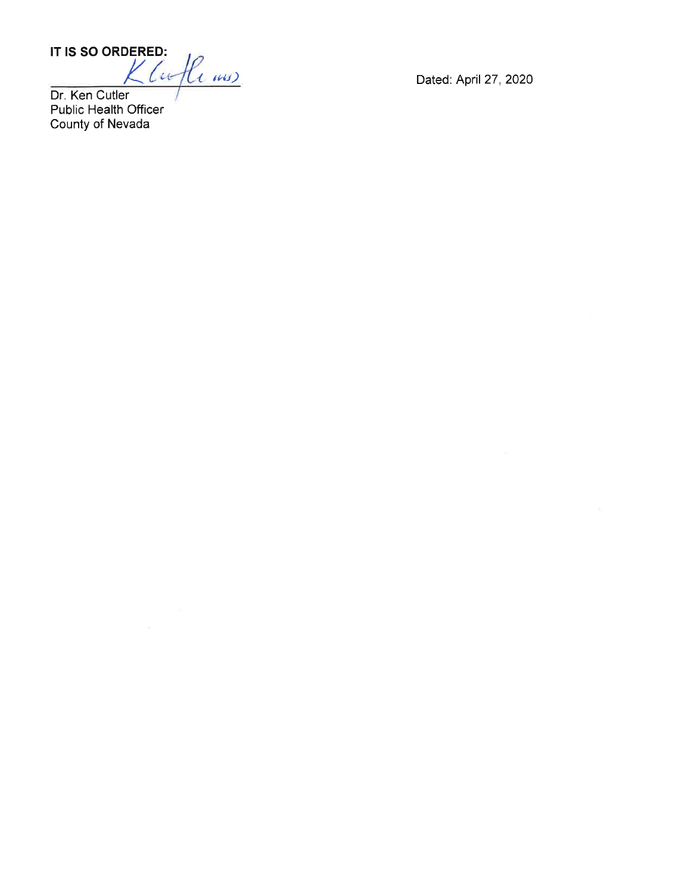IT IS SO ORDERED:

Kluflews

Dr. Ken Cutler Public Health Officer<br>County of Nevada Dated: April 27, 2020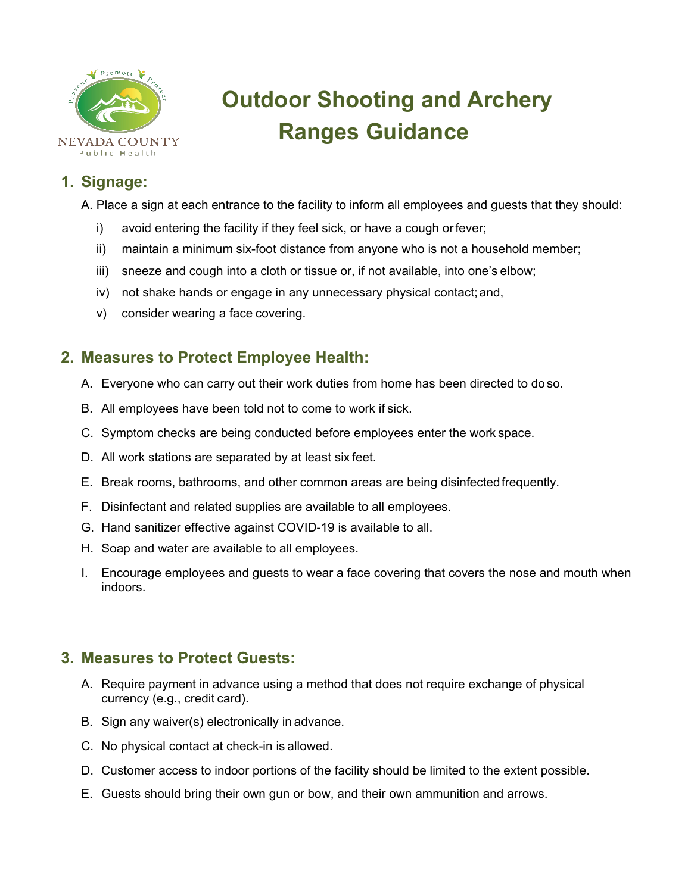

# **Outdoor Shooting and Archery Ranges Guidance**

## **1. Signage:**

A. Place a sign at each entrance to the facility to inform all employees and guests that they should:

- i) avoid entering the facility if they feel sick, or have a cough orfever;
- ii) maintain a minimum six-foot distance from anyone who is not a household member;
- iii) sneeze and cough into a cloth or tissue or, if not available, into one's elbow;
- iv) not shake hands or engage in any unnecessary physical contact; and,
- v) consider wearing a face covering.

## **2. Measures to Protect Employee Health:**

- A. Everyone who can carry out their work duties from home has been directed to doso.
- B. All employees have been told not to come to work if sick.
- C. Symptom checks are being conducted before employees enter the work space.
- D. All work stations are separated by at least six feet.
- E. Break rooms, bathrooms, and other common areas are being disinfectedfrequently.
- F. Disinfectant and related supplies are available to all employees.
- G. Hand sanitizer effective against COVID-19 is available to all.
- H. Soap and water are available to all employees.
- I. Encourage employees and guests to wear a face covering that covers the nose and mouth when indoors.

### **3. Measures to Protect Guests:**

- A. Require payment in advance using a method that does not require exchange of physical currency (e.g., credit card).
- B. Sign any waiver(s) electronically in advance.
- C. No physical contact at check-in is allowed.
- D. Customer access to indoor portions of the facility should be limited to the extent possible.
- E. Guests should bring their own gun or bow, and their own ammunition and arrows.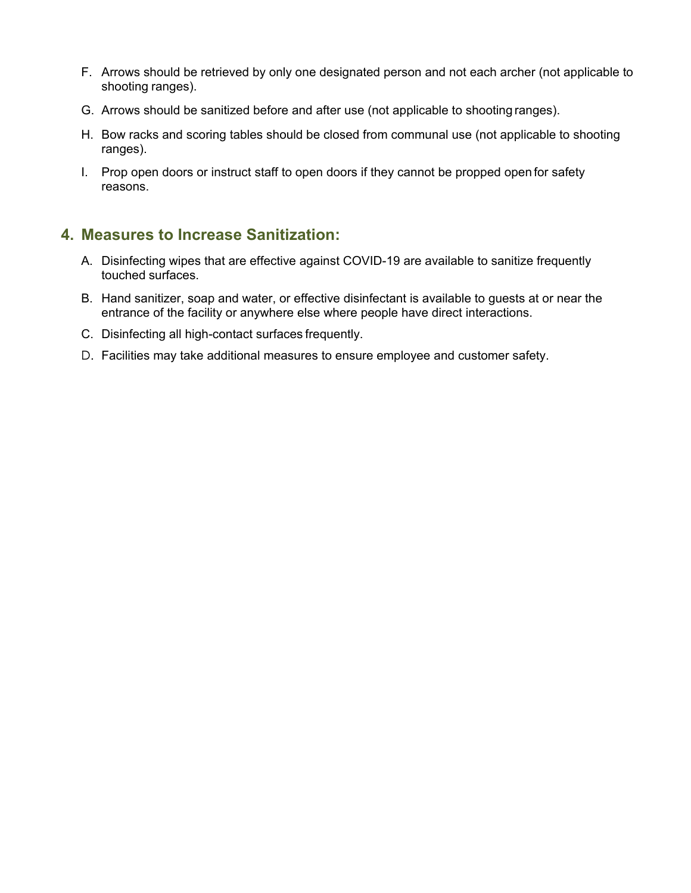- F. Arrows should be retrieved by only one designated person and not each archer (not applicable to shooting ranges).
- G. Arrows should be sanitized before and after use (not applicable to shooting ranges).
- H. Bow racks and scoring tables should be closed from communal use (not applicable to shooting ranges).
- I. Prop open doors or instruct staff to open doors if they cannot be propped open for safety reasons.

### **4. Measures to Increase Sanitization:**

- A. Disinfecting wipes that are effective against COVID-19 are available to sanitize frequently touched surfaces.
- B. Hand sanitizer, soap and water, or effective disinfectant is available to guests at or near the entrance of the facility or anywhere else where people have direct interactions.
- C. Disinfecting all high-contact surfaces frequently.
- D. Facilities may take additional measures to ensure employee and customer safety.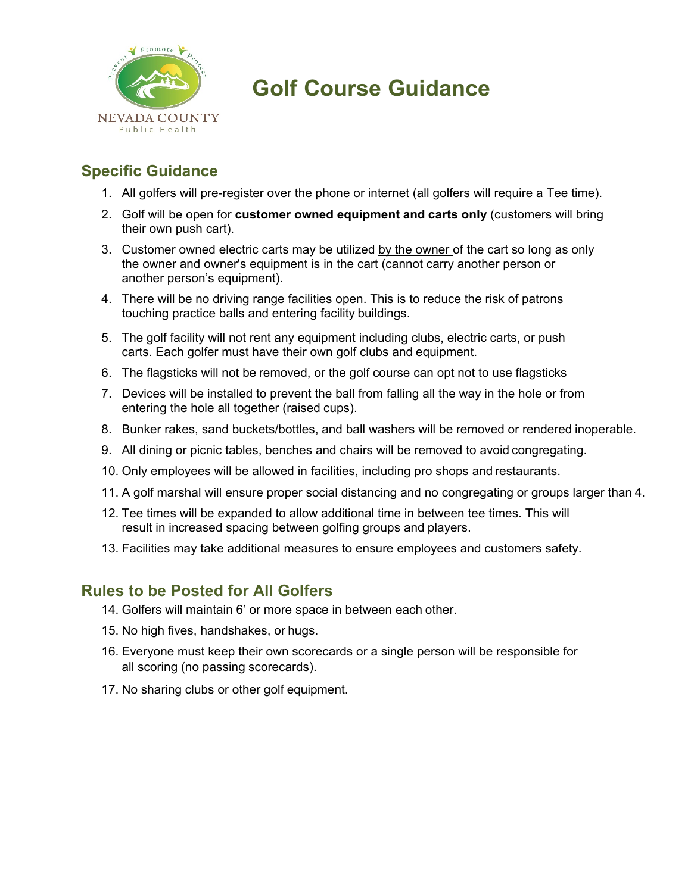

## **Golf Course Guidance**

## **Specific Guidance**

- 1. All golfers will pre-register over the phone or internet (all golfers will require a Tee time).
- 2. Golf will be open for **customer owned equipment and carts only** (customers will bring their own push cart).
- 3. Customer owned electric carts may be utilized by the owner of the cart so long as only the owner and owner's equipment is in the cart (cannot carry another person or another person's equipment).
- 4. There will be no driving range facilities open. This is to reduce the risk of patrons touching practice balls and entering facility buildings.
- 5. The golf facility will not rent any equipment including clubs, electric carts, or push carts. Each golfer must have their own golf clubs and equipment.
- 6. The flagsticks will not be removed, or the golf course can opt not to use flagsticks
- 7. Devices will be installed to prevent the ball from falling all the way in the hole or from entering the hole all together (raised cups).
- 8. Bunker rakes, sand buckets/bottles, and ball washers will be removed or rendered inoperable.
- 9. All dining or picnic tables, benches and chairs will be removed to avoid congregating.
- 10. Only employees will be allowed in facilities, including pro shops and restaurants.
- 11. A golf marshal will ensure proper social distancing and no congregating or groups larger than 4.
- 12. Tee times will be expanded to allow additional time in between tee times. This will result in increased spacing between golfing groups and players.
- 13. Facilities may take additional measures to ensure employees and customers safety.

## **Rules to be Posted for All Golfers**

- 14. Golfers will maintain 6' or more space in between each other.
- 15. No high fives, handshakes, or hugs.
- 16. Everyone must keep their own scorecards or a single person will be responsible for all scoring (no passing scorecards).
- 17. No sharing clubs or other golf equipment.